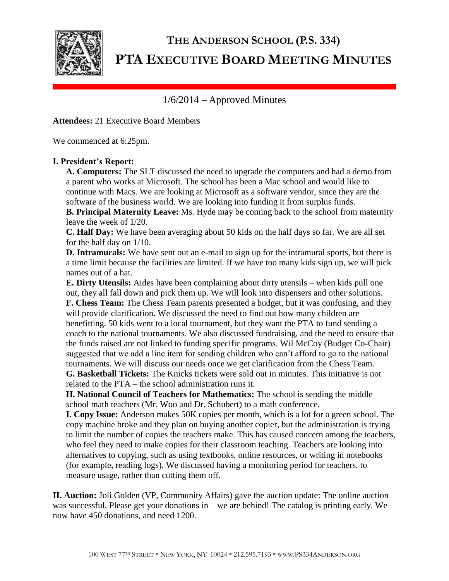

# **THE ANDERSON SCHOOL (P.S. 334) PTA EXECUTIVE BOARD MEETING MINUTES**

1/6/2014 – Approved Minutes

**Attendees:** 21 Executive Board Members

We commenced at 6:25pm.

# **I. President's Report:**

**A. Computers:** The SLT discussed the need to upgrade the computers and had a demo from a parent who works at Microsoft. The school has been a Mac school and would like to continue with Macs. We are looking at Microsoft as a software vendor, since they are the software of the business world. We are looking into funding it from surplus funds.

**B. Principal Maternity Leave:** Ms. Hyde may be coming back to the school from maternity leave the week of 1/20.

**C. Half Day:** We have been averaging about 50 kids on the half days so far. We are all set for the half day on 1/10.

**D. Intramurals:** We have sent out an e-mail to sign up for the intramural sports, but there is a time limit because the facilities are limited. If we have too many kids sign up, we will pick names out of a hat.

**E. Dirty Utensils:** Aides have been complaining about dirty utensils – when kids pull one out, they all fall down and pick them up. We will look into dispensers and other solutions. **F. Chess Team:** The Chess Team parents presented a budget, but it was confusing, and they will provide clarification. We discussed the need to find out how many children are benefitting. 50 kids went to a local tournament, but they want the PTA to fund sending a coach to the national tournaments. We also discussed fundraising, and the need to ensure that the funds raised are not linked to funding specific programs. Wil McCoy (Budget Co-Chair) suggested that we add a line item for sending children who can't afford to go to the national tournaments. We will discuss our needs once we get clarification from the Chess Team.

**G. Basketball Tickets:** The Knicks tickets were sold out in minutes. This initiative is not related to the PTA – the school administration runs it.

**H. National Council of Teachers for Mathematics:** The school is sending the middle school math teachers (Mr. Woo and Dr. Schubert) to a math conference.

**I. Copy Issue:** Anderson makes 50K copies per month, which is a lot for a green school. The copy machine broke and they plan on buying another copier, but the administration is trying to limit the number of copies the teachers make. This has caused concern among the teachers, who feel they need to make copies for their classroom teaching. Teachers are looking into alternatives to copying, such as using textbooks, online resources, or writing in notebooks (for example, reading logs). We discussed having a monitoring period for teachers, to measure usage, rather than cutting them off.

**II. Auction:** Joli Golden (VP, Community Affairs) gave the auction update: The online auction was successful. Please get your donations in – we are behind! The catalog is printing early. We now have 450 donations, and need 1200.